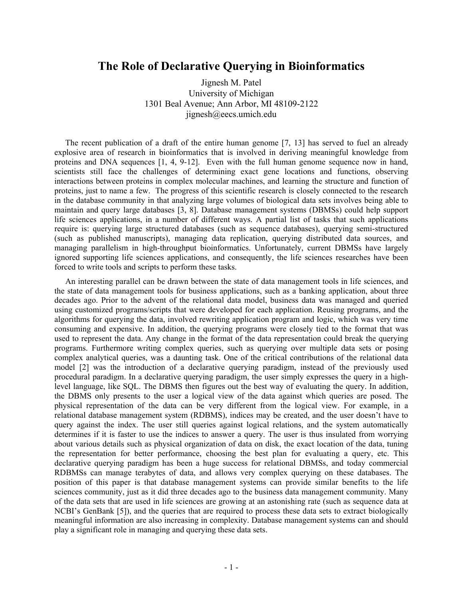## **The Role of Declarative Querying in Bioinformatics**

Jignesh M. Patel University of Michigan 1301 Beal Avenue; Ann Arbor, MI 48109-2122 jignesh@eecs.umich.edu

The recent publication of a draft of the entire human genome [7, 13] has served to fuel an already explosive area of research in bioinformatics that is involved in deriving meaningful knowledge from proteins and DNA sequences [1, 4, 9-12]. Even with the full human genome sequence now in hand, scientists still face the challenges of determining exact gene locations and functions, observing interactions between proteins in complex molecular machines, and learning the structure and function of proteins, just to name a few. The progress of this scientific research is closely connected to the research in the database community in that analyzing large volumes of biological data sets involves being able to maintain and query large databases [3, 8]. Database management systems (DBMSs) could help support life sciences applications, in a number of different ways. A partial list of tasks that such applications require is: querying large structured databases (such as sequence databases), querying semi-structured (such as published manuscripts), managing data replication, querying distributed data sources, and managing parallelism in high-throughput bioinformatics. Unfortunately, current DBMSs have largely ignored supporting life sciences applications, and consequently, the life sciences researches have been forced to write tools and scripts to perform these tasks.

An interesting parallel can be drawn between the state of data management tools in life sciences, and the state of data management tools for business applications, such as a banking application, about three decades ago. Prior to the advent of the relational data model, business data was managed and queried using customized programs/scripts that were developed for each application. Reusing programs, and the algorithms for querying the data, involved rewriting application program and logic, which was very time consuming and expensive. In addition, the querying programs were closely tied to the format that was used to represent the data. Any change in the format of the data representation could break the querying programs. Furthermore writing complex queries, such as querying over multiple data sets or posing complex analytical queries, was a daunting task. One of the critical contributions of the relational data model [2] was the introduction of a declarative querying paradigm, instead of the previously used procedural paradigm. In a declarative querying paradigm, the user simply expresses the query in a highlevel language, like SQL. The DBMS then figures out the best way of evaluating the query. In addition, the DBMS only presents to the user a logical view of the data against which queries are posed. The physical representation of the data can be very different from the logical view. For example, in a relational database management system (RDBMS), indices may be created, and the user doesn't have to query against the index. The user still queries against logical relations, and the system automatically determines if it is faster to use the indices to answer a query. The user is thus insulated from worrying about various details such as physical organization of data on disk, the exact location of the data, tuning the representation for better performance, choosing the best plan for evaluating a query, etc. This declarative querying paradigm has been a huge success for relational DBMSs, and today commercial RDBMSs can manage terabytes of data, and allows very complex querying on these databases. The position of this paper is that database management systems can provide similar benefits to the life sciences community, just as it did three decades ago to the business data management community. Many of the data sets that are used in life sciences are growing at an astonishing rate (such as sequence data at NCBI's GenBank [5]), and the queries that are required to process these data sets to extract biologically meaningful information are also increasing in complexity. Database management systems can and should play a significant role in managing and querying these data sets.